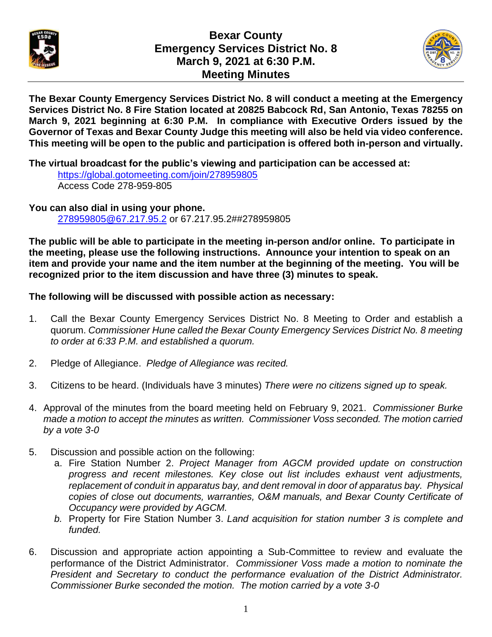

## **Bexar County Emergency Services District No. 8 March 9, 2021 at 6:30 P.M. Meeting Minutes**



**The Bexar County Emergency Services District No. 8 will conduct a meeting at the Emergency Services District No. 8 Fire Station located at 20825 Babcock Rd, San Antonio, Texas 78255 on March 9, 2021 beginning at 6:30 P.M. In compliance with Executive Orders issued by the Governor of Texas and Bexar County Judge this meeting will also be held via video conference. This meeting will be open to the public and participation is offered both in-person and virtually.** 

**The virtual broadcast for the public's viewing and participation can be accessed at:**

<https://global.gotomeeting.com/join/278959805> Access Code 278-959-805

**You can also dial in using your phone.**  [278959805@67.217.95.2](mailto:278959805@67.217.95.2) or 67.217.95.2##278959805

**The public will be able to participate in the meeting in-person and/or online. To participate in the meeting, please use the following instructions. Announce your intention to speak on an item and provide your name and the item number at the beginning of the meeting. You will be recognized prior to the item discussion and have three (3) minutes to speak.**

## **The following will be discussed with possible action as necessary:**

- 1. Call the Bexar County Emergency Services District No. 8 Meeting to Order and establish a quorum. *Commissioner Hune called the Bexar County Emergency Services District No. 8 meeting to order at 6:33 P.M. and established a quorum.*
- 2. Pledge of Allegiance. *Pledge of Allegiance was recited.*
- 3. Citizens to be heard. (Individuals have 3 minutes) *There were no citizens signed up to speak.*
- 4. Approval of the minutes from the board meeting held on February 9, 2021. *Commissioner Burke made a motion to accept the minutes as written. Commissioner Voss seconded. The motion carried by a vote 3-0*
- 5. Discussion and possible action on the following:
	- a. Fire Station Number 2. *Project Manager from AGCM provided update on construction progress and recent milestones. Key close out list includes exhaust vent adjustments, replacement of conduit in apparatus bay, and dent removal in door of apparatus bay. Physical copies of close out documents, warranties, O&M manuals, and Bexar County Certificate of Occupancy were provided by AGCM.*
	- *b.* Property for Fire Station Number 3. *Land acquisition for station number 3 is complete and funded.*
- 6. Discussion and appropriate action appointing a Sub-Committee to review and evaluate the performance of the District Administrator. *Commissioner Voss made a motion to nominate the President and Secretary to conduct the performance evaluation of the District Administrator. Commissioner Burke seconded the motion. The motion carried by a vote 3-0*